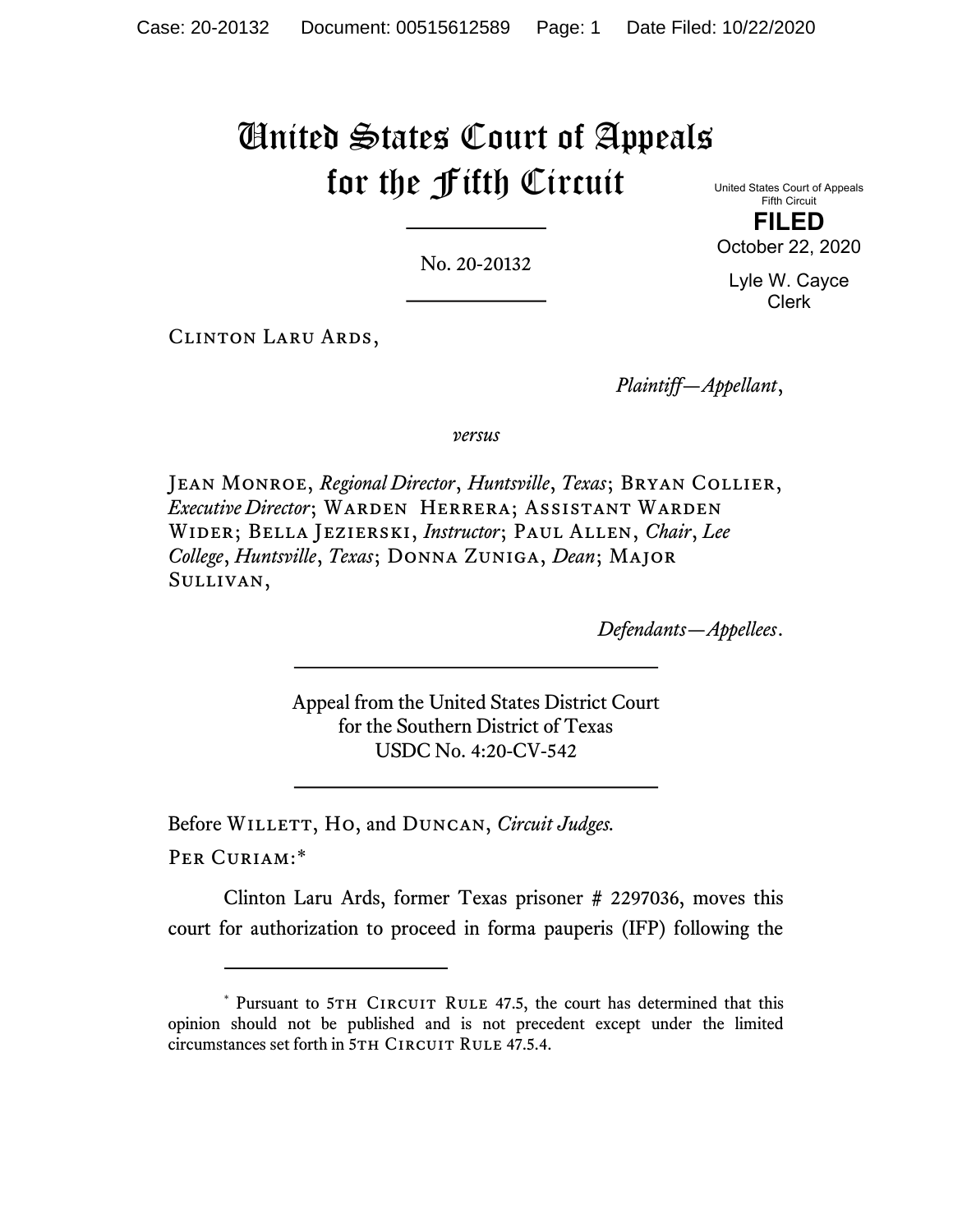## United States Court of Appeals for the Fifth Circuit

No. 20-20132

United States Court of Appeals Fifth Circuit FILED October 22, 2020

Lyle W. Cayce Clerk

Clinton Laru Ards,

Plaintiff—Appellant,

versus

JEAN MONROE, Regional Director, Huntsville, Texas; BRYAN COLLIER, Executive Director; WARDEN HERRERA; ASSISTANT WARDEN Wider; Bella Jezierski, Instructor; Paul Allen, Chair, Lee College, Huntsville, Texas; Donna Zuniga, Dean; Major Sullivan,

Defendants—Appellees.

Appeal from the United States District Court for the Southern District of Texas USDC No. 4:20-CV-542

Before WILLETT, HO, and DUNCAN, Circuit Judges.

Per Curiam:\*

Clinton Laru Ards, former Texas prisoner # 2297036, moves this court for authorization to proceed in forma pauperis (IFP) following the

<sup>\*</sup> Pursuant to 5TH CIRCUIT RULE 47.5, the court has determined that this opinion should not be published and is not precedent except under the limited circumstances set forth in 5TH CIRCUIT RULE 47.5.4.